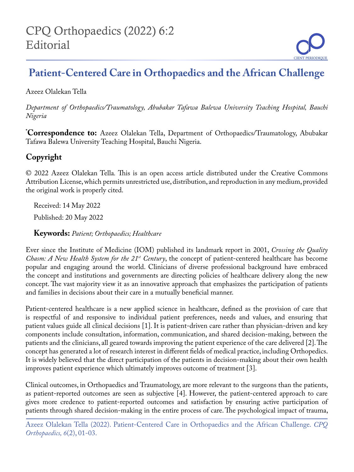## **Patient-Centered Care in Orthopaedics and the African Challenge**

Azeez Olalekan Tella

*Department of Orthopaedics/Traumatology, Abubakar Tafawa Balewa University Teaching Hospital, Bauchi Nigeria*

**\* Correspondence to:** Azeez Olalekan Tella, Department of Orthopaedics/Traumatology, Abubakar Tafawa Balewa University Teaching Hospital, Bauchi Nigeria.

## **Copyright**

© 2022 Azeez Olalekan Tella*.* This is an open access article distributed under the Creative Commons Attribution License, which permits unrestricted use, distribution, and reproduction in any medium, provided the original work is properly cited.

Received: 14 May 2022

Published: 20 May 2022

**Keywords:** *Patient; Orthopaedics; Healthcare*

Ever since the Institute of Medicine (IOM) published its landmark report in 2001, *Crossing the Quality Chasm: A New Health System for the 21<sup>st</sup> Century*, the concept of patient-centered healthcare has become popular and engaging around the world. Clinicians of diverse professional background have embraced the concept and institutions and governments are directing policies of healthcare delivery along the new concept. The vast majority view it as an innovative approach that emphasizes the participation of patients and families in decisions about their care in a mutually beneficial manner.

Patient-centered healthcare is a new applied science in healthcare, defined as the provision of care that is respectful of and responsive to individual patient preferences, needs and values, and ensuring that patient values guide all clinical decisions [1]. It is patient-driven care rather than physician-driven and key components include consultation, information, communication, and shared decision-making, between the patients and the clinicians, all geared towards improving the patient experience of the care delivered [2]. The concept has generated a lot of research interest in different fields of medical practice, including Orthopedics. It is widely believed that the direct participation of the patients in decision-making about their own health improves patient experience which ultimately improves outcome of treatment [3].

Clinical outcomes, in Orthopaedics and Traumatology, are more relevant to the surgeons than the patients, as patient-reported outcomes are seen as subjective [4]. However, the patient-centered approach to care gives more credence to patient-reported outcomes and satisfaction by ensuring active participation of patients through shared decision-making in the entire process of care. The psychological impact of trauma,

Azeez Olalekan Tella (2022). Patient-Centered Care in Orthopaedics and the African Challenge. *CPQ Orthopaedics, 6*(2), 01-03.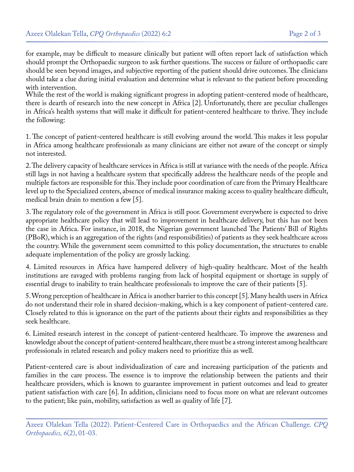for example, may be difficult to measure clinically but patient will often report lack of satisfaction which should prompt the Orthopaedic surgeon to ask further questions. The success or failure of orthopaedic care should be seen beyond images, and subjective reporting of the patient should drive outcomes. The clinicians should take a clue during initial evaluation and determine what is relevant to the patient before proceeding with intervention.

While the rest of the world is making significant progress in adopting patient-centered mode of healthcare, there is dearth of research into the new concept in Africa [2]. Unfortunately, there are peculiar challenges in Africa's health systems that will make it difficult for patient-centered healthcare to thrive. They include the following:

1. The concept of patient-centered healthcare is still evolving around the world. This makes it less popular in Africa among healthcare professionals as many clinicians are either not aware of the concept or simply not interested.

2. The delivery capacity of healthcare services in Africa is still at variance with the needs of the people. Africa still lags in not having a healthcare system that specifically address the healthcare needs of the people and multiple factors are responsible for this. They include poor coordination of care from the Primary Healthcare level up to the Specialized centers, absence of medical insurance making access to quality healthcare difficult, medical brain drain to mention a few [5].

3. The regulatory role of the government in Africa is still poor. Government everywhere is expected to drive appropriate healthcare policy that will lead to improvement in healthcare delivery, but this has not been the case in Africa. For instance, in 2018, the Nigerian government launched The Patients' Bill of Rights (PBoR), which is an aggregation of the rights (and responsibilities) of patients as they seek healthcare across the country. While the government seem committed to this policy documentation, the structures to enable adequate implementation of the policy are grossly lacking.

4. Limited resources in Africa have hampered delivery of high-quality healthcare. Most of the health institutions are ravaged with problems ranging from lack of hospital equipment or shortage in supply of essential drugs to inability to train healthcare professionals to improve the care of their patients [5].

5. Wrong perception of healthcare in Africa is another barrier to this concept [5]. Many health users in Africa do not understand their role in shared decision-making, which is a key component of patient-centered care. Closely related to this is ignorance on the part of the patients about their rights and responsibilities as they seek healthcare.

6. Limited research interest in the concept of patient-centered healthcare. To improve the awareness and knowledge about the concept of patient-centered healthcare, there must be a strong interest among healthcare professionals in related research and policy makers need to prioritize this as well.

Patient-centered care is about individualization of care and increasing participation of the patients and families in the care process. The essence is to improve the relationship between the patients and their healthcare providers, which is known to guarantee improvement in patient outcomes and lead to greater patient satisfaction with care [6]. In addition, clinicians need to focus more on what are relevant outcomes to the patient; like pain, mobility, satisfaction as well as quality of life [7].

Azeez Olalekan Tella (2022). Patient-Centered Care in Orthopaedics and the African Challenge. *CPQ Orthopaedics, 6*(2), 01-03.